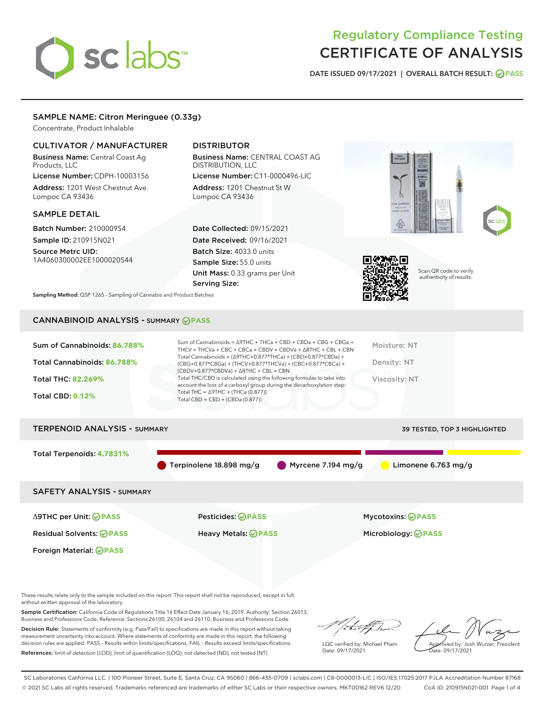# sclabs<sup>\*</sup>

# Regulatory Compliance Testing CERTIFICATE OF ANALYSIS

DATE ISSUED 09/17/2021 | OVERALL BATCH RESULT: @ PASS

## SAMPLE NAME: Citron Meringuee (0.33g)

Concentrate, Product Inhalable

### CULTIVATOR / MANUFACTURER

Business Name: Central Coast Ag Products, LLC

License Number: CDPH-10003156 Address: 1201 West Chestnut Ave. Lompoc CA 93436

#### SAMPLE DETAIL

Batch Number: 210000954 Sample ID: 210915N021

Source Metrc UID: 1A4060300002EE1000020544

Foreign Material: **PASS**

# DISTRIBUTOR

Business Name: CENTRAL COAST AG DISTRIBUTION, LLC License Number: C11-0000496-LIC

Address: 1201 Chestnut St W Lompoc CA 93436

Date Collected: 09/15/2021 Date Received: 09/16/2021 Batch Size: 4033.0 units Sample Size: 55.0 units Unit Mass: 0.33 grams per Unit Serving Size:





Scan QR code to verify authenticity of results.

Sampling Method: QSP 1265 - Sampling of Cannabis and Product Batches

# CANNABINOID ANALYSIS - SUMMARY **PASS**

| Sum of Cannabinoids: 86.788% | Sum of Cannabinoids = $\triangle$ 9THC + THCa + CBD + CBDa + CBG + CBGa +<br>THCV + THCVa + CBC + CBCa + CBDV + CBDVa + $\Delta$ 8THC + CBL + CBN                                    | Moisture: NT  |
|------------------------------|--------------------------------------------------------------------------------------------------------------------------------------------------------------------------------------|---------------|
| Total Cannabinoids: 86.788%  | Total Cannabinoids = $(\Delta$ 9THC+0.877*THCa) + (CBD+0.877*CBDa) +<br>(CBG+0.877*CBGa) + (THCV+0.877*THCVa) + (CBC+0.877*CBCa) +<br>$(CBDV+0.877*CBDVa) + \Delta 8THC + CBL + CBN$ | Density: NT   |
| <b>Total THC: 82.269%</b>    | Total THC/CBD is calculated using the following formulas to take into<br>account the loss of a carboxyl group during the decarboxylation step:                                       | Viscosity: NT |
| <b>Total CBD: 0.12%</b>      | Total THC = $\triangle$ 9THC + (THCa (0.877))<br>Total CBD = $CBD + (CBDa (0.877))$                                                                                                  |               |
|                              |                                                                                                                                                                                      |               |

# TERPENOID ANALYSIS - SUMMARY 39 TESTED, TOP 3 HIGHLIGHTED Total Terpenoids: **4.7831%** Terpinolene 18.898 mg/g Myrcene 7.194 mg/g Limonene 6.763 mg/g SAFETY ANALYSIS - SUMMARY Δ9THC per Unit: **PASS** Pesticides: **PASS** Mycotoxins: **PASS**

Residual Solvents: **PASS** Heavy Metals: **PASS** Microbiology: **PASS**

These results relate only to the sample included on this report. This report shall not be reproduced, except in full, without written approval of the laboratory.

Sample Certification: California Code of Regulations Title 16 Effect Date January 16, 2019. Authority: Section 26013, Business and Professions Code. Reference: Sections 26100, 26104 and 26110, Business and Professions Code.

Decision Rule: Statements of conformity (e.g. Pass/Fail) to specifications are made in this report without taking measurement uncertainty into account. Where statements of conformity are made in this report, the following decision rules are applied: PASS – Results within limits/specifications, FAIL – Results exceed limits/specifications. References: limit of detection (LOD), limit of quantification (LOQ), not detected (ND), not tested (NT)

that f

LQC verified by: Michael Pham Date: 09/17/2021

Approved by: Josh Wurzer, President ate: 09/17/2021

SC Laboratories California LLC. | 100 Pioneer Street, Suite E, Santa Cruz, CA 95060 | 866-435-0709 | sclabs.com | C8-0000013-LIC | ISO/IES 17025:2017 PJLA Accreditation Number 87168 © 2021 SC Labs all rights reserved. Trademarks referenced are trademarks of either SC Labs or their respective owners. MKT00162 REV6 12/20 CoA ID: 210915N021-001 Page 1 of 4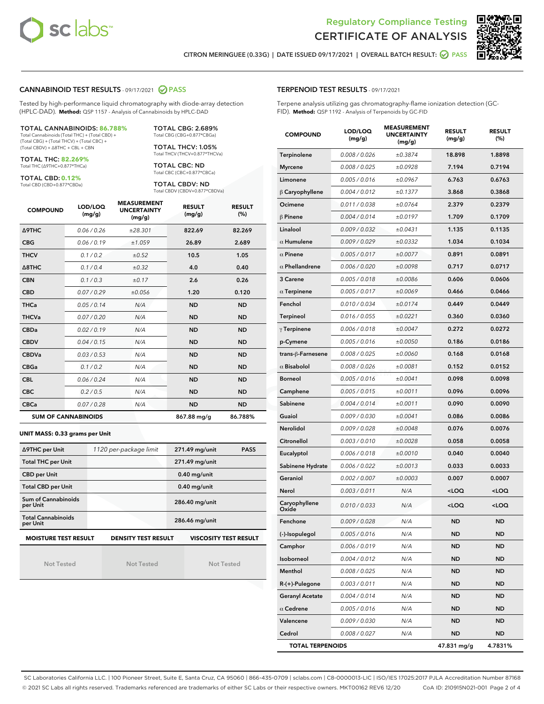



CITRON MERINGUEE (0.33G) | DATE ISSUED 09/17/2021 | OVERALL BATCH RESULT: 2 PASS

#### CANNABINOID TEST RESULTS - 09/17/2021 2 PASS

Tested by high-performance liquid chromatography with diode-array detection (HPLC-DAD). **Method:** QSP 1157 - Analysis of Cannabinoids by HPLC-DAD

#### TOTAL CANNABINOIDS: **86.788%**

Total Cannabinoids (Total THC) + (Total CBD) + (Total CBG) + (Total THCV) + (Total CBC) + (Total CBDV) + ∆8THC + CBL + CBN

TOTAL THC: **82.269%** Total THC (∆9THC+0.877\*THCa)

TOTAL CBD: **0.12%**

Total CBD (CBD+0.877\*CBDa)

TOTAL CBG: 2.689% Total CBG (CBG+0.877\*CBGa)

TOTAL THCV: 1.05% Total THCV (THCV+0.877\*THCVa)

TOTAL CBC: ND Total CBC (CBC+0.877\*CBCa)

TOTAL CBDV: ND Total CBDV (CBDV+0.877\*CBDVa)

| <b>COMPOUND</b>  | LOD/LOQ<br>(mg/g)          | <b>MEASUREMENT</b><br><b>UNCERTAINTY</b><br>(mg/g) | <b>RESULT</b><br>(mg/g) | <b>RESULT</b><br>(%) |
|------------------|----------------------------|----------------------------------------------------|-------------------------|----------------------|
| <b>A9THC</b>     | 0.06 / 0.26                | ±28.301                                            | 822.69                  | 82.269               |
| <b>CBG</b>       | 0.06 / 0.19                | ±1.059                                             | 26.89                   | 2.689                |
| <b>THCV</b>      | 0.1 / 0.2                  | ±0.52                                              | 10.5                    | 1.05                 |
| $\triangle$ 8THC | 0.1/0.4                    | $\pm 0.32$                                         | 4.0                     | 0.40                 |
| <b>CBN</b>       | 0.1/0.3                    | ±0.17                                              | 2.6                     | 0.26                 |
| <b>CBD</b>       | 0.07/0.29                  | ±0.056                                             | 1.20                    | 0.120                |
| <b>THCa</b>      | 0.05/0.14                  | N/A                                                | <b>ND</b>               | <b>ND</b>            |
| <b>THCVa</b>     | 0.07/0.20                  | N/A                                                | <b>ND</b>               | <b>ND</b>            |
| <b>CBDa</b>      | 0.02/0.19                  | N/A                                                | <b>ND</b>               | <b>ND</b>            |
| <b>CBDV</b>      | 0.04 / 0.15                | N/A                                                | <b>ND</b>               | <b>ND</b>            |
| <b>CBDVa</b>     | 0.03/0.53                  | N/A                                                | <b>ND</b>               | <b>ND</b>            |
| <b>CBGa</b>      | 0.1/0.2                    | N/A                                                | <b>ND</b>               | <b>ND</b>            |
| <b>CBL</b>       | 0.06 / 0.24                | N/A                                                | <b>ND</b>               | <b>ND</b>            |
| <b>CBC</b>       | 0.2 / 0.5                  | N/A                                                | <b>ND</b>               | <b>ND</b>            |
| <b>CBCa</b>      | 0.07 / 0.28                | N/A                                                | <b>ND</b>               | <b>ND</b>            |
|                  | <b>SUM OF CANNABINOIDS</b> |                                                    | 867.88 mg/g             | 86.788%              |

#### **UNIT MASS: 0.33 grams per Unit**

| ∆9THC per Unit                        | 1120 per-package limit                                     | 271.49 mg/unit<br><b>PASS</b> |  |  |
|---------------------------------------|------------------------------------------------------------|-------------------------------|--|--|
| <b>Total THC per Unit</b>             |                                                            | 271.49 mg/unit                |  |  |
| <b>CBD per Unit</b>                   |                                                            | $0.40$ mg/unit                |  |  |
| <b>Total CBD per Unit</b>             |                                                            | $0.40$ mg/unit                |  |  |
| Sum of Cannabinoids<br>per Unit       |                                                            | 286.40 mg/unit                |  |  |
| <b>Total Cannabinoids</b><br>per Unit |                                                            | 286.46 mg/unit                |  |  |
| <b>MOISTURE TEST RESULT</b>           | <b>VISCOSITY TEST RESULT</b><br><b>DENSITY TEST RESULT</b> |                               |  |  |

Not Tested

Not Tested

Not Tested

#### TERPENOID TEST RESULTS - 09/17/2021

Terpene analysis utilizing gas chromatography-flame ionization detection (GC-FID). **Method:** QSP 1192 - Analysis of Terpenoids by GC-FID

| <b>COMPOUND</b>         | LOD/LOQ<br>(mg/g) | <b>MEASUREMENT</b><br><b>UNCERTAINTY</b><br>(mg/g) | <b>RESULT</b><br>(mg/g)                         | <b>RESULT</b><br>(%) |
|-------------------------|-------------------|----------------------------------------------------|-------------------------------------------------|----------------------|
| Terpinolene             | 0.008 / 0.026     | ±0.3874                                            | 18.898                                          | 1.8898               |
| <b>Myrcene</b>          | 0.008 / 0.025     | ±0.0928                                            | 7.194                                           | 0.7194               |
| Limonene                | 0.005 / 0.016     | ±0.0967                                            | 6.763                                           | 0.6763               |
| $\beta$ Caryophyllene   | 0.004 / 0.012     | ±0.1377                                            | 3.868                                           | 0.3868               |
| Ocimene                 | 0.011 / 0.038     | ±0.0764                                            | 2.379                                           | 0.2379               |
| $\beta$ Pinene          | 0.004 / 0.014     | ±0.0197                                            | 1.709                                           | 0.1709               |
| Linalool                | 0.009 / 0.032     | ±0.0431                                            | 1.135                                           | 0.1135               |
| $\alpha$ Humulene       | 0.009/0.029       | ±0.0332                                            | 1.034                                           | 0.1034               |
| $\alpha$ Pinene         | 0.005 / 0.017     | ±0.0077                                            | 0.891                                           | 0.0891               |
| $\alpha$ Phellandrene   | 0.006 / 0.020     | ±0.0098                                            | 0.717                                           | 0.0717               |
| 3 Carene                | 0.005 / 0.018     | ±0.0086                                            | 0.606                                           | 0.0606               |
| $\alpha$ Terpinene      | 0.005 / 0.017     | ±0.0069                                            | 0.466                                           | 0.0466               |
| Fenchol                 | 0.010 / 0.034     | ±0.0174                                            | 0.449                                           | 0.0449               |
| Terpineol               | 0.016 / 0.055     | ±0.0221                                            | 0.360                                           | 0.0360               |
| $\gamma$ Terpinene      | 0.006 / 0.018     | ±0.0047                                            | 0.272                                           | 0.0272               |
| p-Cymene                | 0.005 / 0.016     | ±0.0050                                            | 0.186                                           | 0.0186               |
| trans-ß-Farnesene       | 0.008 / 0.025     | ±0.0060                                            | 0.168                                           | 0.0168               |
| $\alpha$ Bisabolol      | 0.008 / 0.026     | ±0.0081                                            | 0.152                                           | 0.0152               |
| <b>Borneol</b>          | 0.005 / 0.016     | ±0.0041                                            | 0.098                                           | 0.0098               |
| Camphene                | 0.005 / 0.015     | ±0.0011                                            | 0.096                                           | 0.0096               |
| Sabinene                | 0.004 / 0.014     | ±0.0011                                            | 0.090                                           | 0.0090               |
| Guaiol                  | 0.009 / 0.030     | ±0.0041                                            | 0.086                                           | 0.0086               |
| Nerolidol               | 0.009 / 0.028     | ±0.0048                                            | 0.076                                           | 0.0076               |
| Citronellol             | 0.003 / 0.010     | ±0.0028                                            | 0.058                                           | 0.0058               |
| Eucalyptol              | 0.006 / 0.018     | ±0.0010                                            | 0.040                                           | 0.0040               |
| Sabinene Hydrate        | 0.006 / 0.022     | ±0.0013                                            | 0.033                                           | 0.0033               |
| Geraniol                | 0.002 / 0.007     | ±0.0003                                            | 0.007                                           | 0.0007               |
| Nerol                   | 0.003 / 0.011     | N/A                                                | <loq< th=""><th><loq< th=""></loq<></th></loq<> | <loq< th=""></loq<>  |
| Caryophyllene<br>Oxide  | 0.010 / 0.033     | N/A                                                | <loq< th=""><th><loq< th=""></loq<></th></loq<> | <loq< th=""></loq<>  |
| Fenchone                | 0.009 / 0.028     | N/A                                                | ND                                              | ND                   |
| (-)-Isopulegol          | 0.005 / 0.016     | N/A                                                | ND                                              | <b>ND</b>            |
| Camphor                 | 0.006 / 0.019     | N/A                                                | <b>ND</b>                                       | <b>ND</b>            |
| Isoborneol              | 0.004 / 0.012     | N/A                                                | ND                                              | <b>ND</b>            |
| Menthol                 | 0.008 / 0.025     | N/A                                                | ND                                              | <b>ND</b>            |
| $R-(+)$ -Pulegone       | 0.003 / 0.011     | N/A                                                | <b>ND</b>                                       | <b>ND</b>            |
| <b>Geranyl Acetate</b>  | 0.004 / 0.014     | N/A                                                | ND                                              | <b>ND</b>            |
| $\alpha$ Cedrene        | 0.005 / 0.016     | N/A                                                | ND                                              | <b>ND</b>            |
| Valencene               | 0.009 / 0.030     | N/A                                                | ND                                              | ND                   |
| Cedrol                  | 0.008 / 0.027     | N/A                                                | ND                                              | <b>ND</b>            |
| <b>TOTAL TERPENOIDS</b> |                   |                                                    | 47.831 mg/g                                     | 4.7831%              |

SC Laboratories California LLC. | 100 Pioneer Street, Suite E, Santa Cruz, CA 95060 | 866-435-0709 | sclabs.com | C8-0000013-LIC | ISO/IES 17025:2017 PJLA Accreditation Number 87168 © 2021 SC Labs all rights reserved. Trademarks referenced are trademarks of either SC Labs or their respective owners. MKT00162 REV6 12/20 CoA ID: 210915N021-001 Page 2 of 4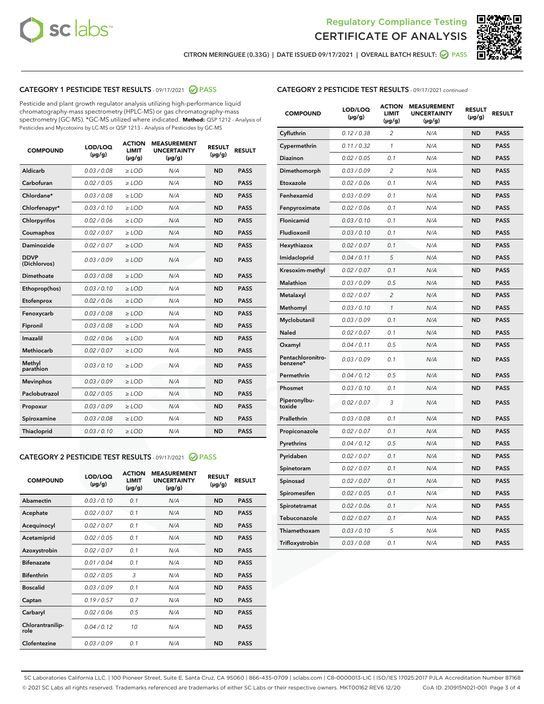



CITRON MERINGUEE (0.33G) | DATE ISSUED 09/17/2021 | OVERALL BATCH RESULT: **⊘** PASS

## CATEGORY 1 PESTICIDE TEST RESULTS - 09/17/2021 2 PASS

Pesticide and plant growth regulator analysis utilizing high-performance liquid chromatography-mass spectrometry (HPLC-MS) or gas chromatography-mass spectrometry (GC-MS). \*GC-MS utilized where indicated. **Method:** QSP 1212 - Analysis of Pesticides and Mycotoxins by LC-MS or QSP 1213 - Analysis of Pesticides by GC-MS

| <b>COMPOUND</b>             | LOD/LOQ<br>$(\mu g/g)$ | <b>ACTION</b><br><b>LIMIT</b><br>$(\mu g/g)$ | <b>MEASUREMENT</b><br><b>UNCERTAINTY</b><br>$(\mu g/g)$ | <b>RESULT</b><br>$(\mu g/g)$ | <b>RESULT</b> |
|-----------------------------|------------------------|----------------------------------------------|---------------------------------------------------------|------------------------------|---------------|
| Aldicarb                    | 0.03 / 0.08            | $\geq$ LOD                                   | N/A                                                     | <b>ND</b>                    | <b>PASS</b>   |
| Carbofuran                  | 0.02 / 0.05            | $>$ LOD                                      | N/A                                                     | <b>ND</b>                    | <b>PASS</b>   |
| Chlordane*                  | 0.03 / 0.08            | $\ge$ LOD                                    | N/A                                                     | <b>ND</b>                    | <b>PASS</b>   |
| Chlorfenapyr*               | 0.03/0.10              | $>$ LOD                                      | N/A                                                     | <b>ND</b>                    | <b>PASS</b>   |
| Chlorpyrifos                | 0.02 / 0.06            | ≥ LOD                                        | N/A                                                     | <b>ND</b>                    | <b>PASS</b>   |
| Coumaphos                   | 0.02 / 0.07            | $\ge$ LOD                                    | N/A                                                     | <b>ND</b>                    | <b>PASS</b>   |
| Daminozide                  | 0.02 / 0.07            | $\geq$ LOD                                   | N/A                                                     | <b>ND</b>                    | <b>PASS</b>   |
| <b>DDVP</b><br>(Dichlorvos) | 0.03/0.09              | $\geq$ LOD                                   | N/A                                                     | <b>ND</b>                    | <b>PASS</b>   |
| Dimethoate                  | 0.03 / 0.08            | $>$ LOD                                      | N/A                                                     | <b>ND</b>                    | <b>PASS</b>   |
| Ethoprop(hos)               | 0.03/0.10              | $\ge$ LOD                                    | N/A                                                     | <b>ND</b>                    | <b>PASS</b>   |
| Etofenprox                  | 0.02 / 0.06            | $>$ LOD                                      | N/A                                                     | <b>ND</b>                    | <b>PASS</b>   |
| Fenoxycarb                  | 0.03 / 0.08            | $\geq$ LOD                                   | N/A                                                     | <b>ND</b>                    | <b>PASS</b>   |
| Fipronil                    | 0.03/0.08              | $>$ LOD                                      | N/A                                                     | <b>ND</b>                    | <b>PASS</b>   |
| Imazalil                    | 0.02 / 0.06            | $\geq$ LOD                                   | N/A                                                     | <b>ND</b>                    | <b>PASS</b>   |
| <b>Methiocarb</b>           | 0.02 / 0.07            | $\ge$ LOD                                    | N/A                                                     | <b>ND</b>                    | <b>PASS</b>   |
| Methyl<br>parathion         | 0.03/0.10              | $\geq$ LOD                                   | N/A                                                     | <b>ND</b>                    | <b>PASS</b>   |
| <b>Mevinphos</b>            | 0.03/0.09              | $>$ LOD                                      | N/A                                                     | <b>ND</b>                    | <b>PASS</b>   |
| Paclobutrazol               | 0.02 / 0.05            | $\geq$ LOD                                   | N/A                                                     | <b>ND</b>                    | <b>PASS</b>   |
| Propoxur                    | 0.03/0.09              | $\ge$ LOD                                    | N/A                                                     | <b>ND</b>                    | <b>PASS</b>   |
| Spiroxamine                 | 0.03 / 0.08            | $\ge$ LOD                                    | N/A                                                     | <b>ND</b>                    | <b>PASS</b>   |
| Thiacloprid                 | 0.03/0.10              | $\geq$ LOD                                   | N/A                                                     | <b>ND</b>                    | <b>PASS</b>   |

#### CATEGORY 2 PESTICIDE TEST RESULTS - 09/17/2021 @ PASS

| <b>COMPOUND</b>          | LOD/LOQ<br>$(\mu g/g)$ | <b>ACTION</b><br>LIMIT<br>$(\mu g/g)$ | <b>MEASUREMENT</b><br><b>UNCERTAINTY</b><br>$(\mu g/g)$ | <b>RESULT</b><br>$(\mu g/g)$ | <b>RESULT</b> |
|--------------------------|------------------------|---------------------------------------|---------------------------------------------------------|------------------------------|---------------|
| Abamectin                | 0.03/0.10              | 0.1                                   | N/A                                                     | <b>ND</b>                    | <b>PASS</b>   |
| Acephate                 | 0.02/0.07              | 0.1                                   | N/A                                                     | <b>ND</b>                    | <b>PASS</b>   |
| Acequinocyl              | 0.02/0.07              | 0.1                                   | N/A                                                     | <b>ND</b>                    | <b>PASS</b>   |
| Acetamiprid              | 0.02/0.05              | 0.1                                   | N/A                                                     | <b>ND</b>                    | <b>PASS</b>   |
| Azoxystrobin             | 0.02/0.07              | 0.1                                   | N/A                                                     | <b>ND</b>                    | <b>PASS</b>   |
| <b>Bifenazate</b>        | 0.01/0.04              | 0.1                                   | N/A                                                     | <b>ND</b>                    | <b>PASS</b>   |
| <b>Bifenthrin</b>        | 0.02 / 0.05            | 3                                     | N/A                                                     | <b>ND</b>                    | <b>PASS</b>   |
| <b>Boscalid</b>          | 0.03/0.09              | 0.1                                   | N/A                                                     | <b>ND</b>                    | <b>PASS</b>   |
| Captan                   | 0.19/0.57              | 0.7                                   | N/A                                                     | <b>ND</b>                    | <b>PASS</b>   |
| Carbaryl                 | 0.02/0.06              | 0.5                                   | N/A                                                     | <b>ND</b>                    | <b>PASS</b>   |
| Chlorantranilip-<br>role | 0.04/0.12              | 10                                    | N/A                                                     | <b>ND</b>                    | <b>PASS</b>   |
| Clofentezine             | 0.03/0.09              | 0.1                                   | N/A                                                     | <b>ND</b>                    | <b>PASS</b>   |

| <b>CATEGORY 2 PESTICIDE TEST RESULTS</b> - 09/17/2021 continued |
|-----------------------------------------------------------------|
|-----------------------------------------------------------------|

| <b>COMPOUND</b>               | LOD/LOQ<br>(µg/g) | <b>ACTION</b><br>LIMIT<br>(µg/g) | <b>MEASUREMENT</b><br><b>UNCERTAINTY</b><br>(µg/g) | <b>RESULT</b><br>(µg/g) | <b>RESULT</b> |
|-------------------------------|-------------------|----------------------------------|----------------------------------------------------|-------------------------|---------------|
| Cyfluthrin                    | 0.12 / 0.38       | $\overline{c}$                   | N/A                                                | <b>ND</b>               | <b>PASS</b>   |
| Cypermethrin                  | 0.11/0.32         | 1                                | N/A                                                | <b>ND</b>               | <b>PASS</b>   |
| <b>Diazinon</b>               | 0.02 / 0.05       | 0.1                              | N/A                                                | <b>ND</b>               | <b>PASS</b>   |
| Dimethomorph                  | 0.03 / 0.09       | 2                                | N/A                                                | <b>ND</b>               | <b>PASS</b>   |
| Etoxazole                     | 0.02 / 0.06       | 0.1                              | N/A                                                | <b>ND</b>               | <b>PASS</b>   |
| Fenhexamid                    | 0.03 / 0.09       | 0.1                              | N/A                                                | <b>ND</b>               | <b>PASS</b>   |
| Fenpyroximate                 | 0.02 / 0.06       | 0.1                              | N/A                                                | <b>ND</b>               | <b>PASS</b>   |
| Flonicamid                    | 0.03 / 0.10       | 0.1                              | N/A                                                | <b>ND</b>               | <b>PASS</b>   |
| Fludioxonil                   | 0.03/0.10         | 0.1                              | N/A                                                | <b>ND</b>               | <b>PASS</b>   |
| Hexythiazox                   | 0.02 / 0.07       | 0.1                              | N/A                                                | <b>ND</b>               | <b>PASS</b>   |
| Imidacloprid                  | 0.04 / 0.11       | 5                                | N/A                                                | <b>ND</b>               | <b>PASS</b>   |
| Kresoxim-methyl               | 0.02 / 0.07       | 0.1                              | N/A                                                | <b>ND</b>               | <b>PASS</b>   |
| Malathion                     | 0.03 / 0.09       | 0.5                              | N/A                                                | <b>ND</b>               | <b>PASS</b>   |
| Metalaxyl                     | 0.02 / 0.07       | $\overline{c}$                   | N/A                                                | <b>ND</b>               | <b>PASS</b>   |
| Methomyl                      | 0.03 / 0.10       | 1                                | N/A                                                | <b>ND</b>               | <b>PASS</b>   |
| Myclobutanil                  | 0.03/0.09         | 0.1                              | N/A                                                | <b>ND</b>               | <b>PASS</b>   |
| Naled                         | 0.02 / 0.07       | 0.1                              | N/A                                                | <b>ND</b>               | <b>PASS</b>   |
| Oxamyl                        | 0.04 / 0.11       | 0.5                              | N/A                                                | <b>ND</b>               | <b>PASS</b>   |
| Pentachloronitro-<br>benzene* | 0.03/0.09         | 0.1                              | N/A                                                | <b>ND</b>               | <b>PASS</b>   |
| Permethrin                    | 0.04 / 0.12       | 0.5                              | N/A                                                | <b>ND</b>               | <b>PASS</b>   |
| Phosmet                       | 0.03 / 0.10       | 0.1                              | N/A                                                | <b>ND</b>               | <b>PASS</b>   |
| Piperonylbu-<br>toxide        | 0.02 / 0.07       | 3                                | N/A                                                | <b>ND</b>               | <b>PASS</b>   |
| Prallethrin                   | 0.03 / 0.08       | 0.1                              | N/A                                                | <b>ND</b>               | <b>PASS</b>   |
| Propiconazole                 | 0.02 / 0.07       | 0.1                              | N/A                                                | <b>ND</b>               | <b>PASS</b>   |
| Pyrethrins                    | 0.04 / 0.12       | 0.5                              | N/A                                                | <b>ND</b>               | <b>PASS</b>   |
| Pyridaben                     | 0.02 / 0.07       | 0.1                              | N/A                                                | <b>ND</b>               | <b>PASS</b>   |
| Spinetoram                    | 0.02 / 0.07       | 0.1                              | N/A                                                | <b>ND</b>               | <b>PASS</b>   |
| Spinosad                      | 0.02 / 0.07       | 0.1                              | N/A                                                | <b>ND</b>               | <b>PASS</b>   |
| Spiromesifen                  | 0.02 / 0.05       | 0.1                              | N/A                                                | <b>ND</b>               | <b>PASS</b>   |
| Spirotetramat                 | 0.02 / 0.06       | 0.1                              | N/A                                                | <b>ND</b>               | <b>PASS</b>   |
| Tebuconazole                  | 0.02 / 0.07       | 0.1                              | N/A                                                | <b>ND</b>               | <b>PASS</b>   |
| Thiamethoxam                  | 0.03 / 0.10       | 5                                | N/A                                                | <b>ND</b>               | <b>PASS</b>   |
| Trifloxystrobin               | 0.03 / 0.08       | 0.1                              | N/A                                                | <b>ND</b>               | <b>PASS</b>   |

SC Laboratories California LLC. | 100 Pioneer Street, Suite E, Santa Cruz, CA 95060 | 866-435-0709 | sclabs.com | C8-0000013-LIC | ISO/IES 17025:2017 PJLA Accreditation Number 87168 © 2021 SC Labs all rights reserved. Trademarks referenced are trademarks of either SC Labs or their respective owners. MKT00162 REV6 12/20 CoA ID: 210915N021-001 Page 3 of 4